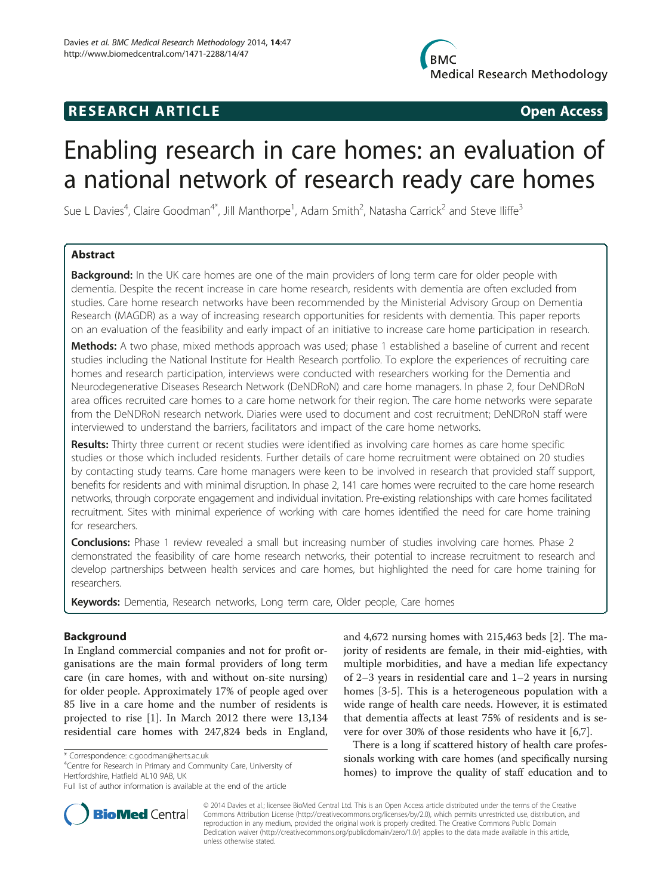# **RESEARCH ARTICLE Example 2018 12:00 Open Access**

# Enabling research in care homes: an evaluation of a national network of research ready care homes

Sue L Davies<sup>4</sup>, Claire Goodman<sup>4\*</sup>, Jill Manthorpe<sup>1</sup>, Adam Smith<sup>2</sup>, Natasha Carrick<sup>2</sup> and Steve Iliffe<sup>3</sup>

# Abstract

**Background:** In the UK care homes are one of the main providers of long term care for older people with dementia. Despite the recent increase in care home research, residents with dementia are often excluded from studies. Care home research networks have been recommended by the Ministerial Advisory Group on Dementia Research (MAGDR) as a way of increasing research opportunities for residents with dementia. This paper reports on an evaluation of the feasibility and early impact of an initiative to increase care home participation in research.

Methods: A two phase, mixed methods approach was used; phase 1 established a baseline of current and recent studies including the National Institute for Health Research portfolio. To explore the experiences of recruiting care homes and research participation, interviews were conducted with researchers working for the Dementia and Neurodegenerative Diseases Research Network (DeNDRoN) and care home managers. In phase 2, four DeNDRoN area offices recruited care homes to a care home network for their region. The care home networks were separate from the DeNDRoN research network. Diaries were used to document and cost recruitment; DeNDRoN staff were interviewed to understand the barriers, facilitators and impact of the care home networks.

Results: Thirty three current or recent studies were identified as involving care homes as care home specific studies or those which included residents. Further details of care home recruitment were obtained on 20 studies by contacting study teams. Care home managers were keen to be involved in research that provided staff support, benefits for residents and with minimal disruption. In phase 2, 141 care homes were recruited to the care home research networks, through corporate engagement and individual invitation. Pre-existing relationships with care homes facilitated recruitment. Sites with minimal experience of working with care homes identified the need for care home training for researchers.

**Conclusions:** Phase 1 review revealed a small but increasing number of studies involving care homes. Phase 2 demonstrated the feasibility of care home research networks, their potential to increase recruitment to research and develop partnerships between health services and care homes, but highlighted the need for care home training for researchers.

Keywords: Dementia, Research networks, Long term care, Older people, Care homes

# Background

In England commercial companies and not for profit organisations are the main formal providers of long term care (in care homes, with and without on-site nursing) for older people. Approximately 17% of people aged over 85 live in a care home and the number of residents is projected to rise [\[1](#page-7-0)]. In March 2012 there were 13,134 residential care homes with 247,824 beds in England,

<sup>4</sup> Centre for Research in Primary and Community Care, University of Hertfordshire, Hatfield AL10 9AB, UK



There is a long if scattered history of health care professionals working with care homes (and specifically nursing homes) to improve the quality of staff education and to



© 2014 Davies et al.; licensee BioMed Central Ltd. This is an Open Access article distributed under the terms of the Creative Commons Attribution License [\(http://creativecommons.org/licenses/by/2.0\)](http://creativecommons.org/licenses/by/2.0), which permits unrestricted use, distribution, and reproduction in any medium, provided the original work is properly credited. The Creative Commons Public Domain Dedication waiver [\(http://creativecommons.org/publicdomain/zero/1.0/](http://creativecommons.org/publicdomain/zero/1.0/)) applies to the data made available in this article, unless otherwise stated.

<sup>\*</sup> Correspondence: [c.goodman@herts.ac.uk](mailto:c.goodman@herts.ac.uk) <sup>4</sup>

Full list of author information is available at the end of the article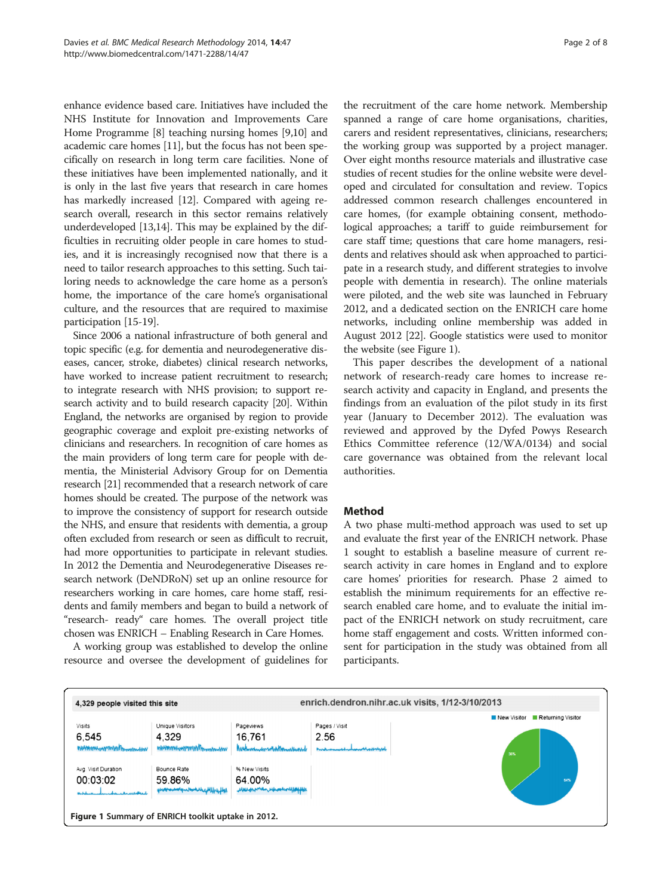enhance evidence based care. Initiatives have included the NHS Institute for Innovation and Improvements Care Home Programme [\[8](#page-7-0)] teaching nursing homes [[9,10](#page-7-0)] and academic care homes [[11](#page-7-0)], but the focus has not been specifically on research in long term care facilities. None of these initiatives have been implemented nationally, and it is only in the last five years that research in care homes has markedly increased [\[12\]](#page-7-0). Compared with ageing research overall, research in this sector remains relatively underdeveloped [\[13,14\]](#page-7-0). This may be explained by the difficulties in recruiting older people in care homes to studies, and it is increasingly recognised now that there is a need to tailor research approaches to this setting. Such tailoring needs to acknowledge the care home as a person's home, the importance of the care home's organisational culture, and the resources that are required to maximise participation [\[15-19\]](#page-7-0).

Since 2006 a national infrastructure of both general and topic specific (e.g. for dementia and neurodegenerative diseases, cancer, stroke, diabetes) clinical research networks, have worked to increase patient recruitment to research; to integrate research with NHS provision; to support research activity and to build research capacity [\[20\]](#page-7-0). Within England, the networks are organised by region to provide geographic coverage and exploit pre-existing networks of clinicians and researchers. In recognition of care homes as the main providers of long term care for people with dementia, the Ministerial Advisory Group for on Dementia research [\[21](#page-7-0)] recommended that a research network of care homes should be created. The purpose of the network was to improve the consistency of support for research outside the NHS, and ensure that residents with dementia, a group often excluded from research or seen as difficult to recruit, had more opportunities to participate in relevant studies. In 2012 the Dementia and Neurodegenerative Diseases research network (DeNDRoN) set up an online resource for researchers working in care homes, care home staff, residents and family members and began to build a network of "research- ready" care homes. The overall project title chosen was ENRICH – Enabling Research in Care Homes.

A working group was established to develop the online resource and oversee the development of guidelines for

the recruitment of the care home network. Membership spanned a range of care home organisations, charities, carers and resident representatives, clinicians, researchers; the working group was supported by a project manager. Over eight months resource materials and illustrative case studies of recent studies for the online website were developed and circulated for consultation and review. Topics addressed common research challenges encountered in care homes, (for example obtaining consent, methodological approaches; a tariff to guide reimbursement for care staff time; questions that care home managers, residents and relatives should ask when approached to participate in a research study, and different strategies to involve people with dementia in research). The online materials were piloted, and the web site was launched in February 2012, and a dedicated section on the ENRICH care home networks, including online membership was added in August 2012 [[22](#page-7-0)]. Google statistics were used to monitor the website (see Figure 1).

This paper describes the development of a national network of research-ready care homes to increase research activity and capacity in England, and presents the findings from an evaluation of the pilot study in its first year (January to December 2012). The evaluation was reviewed and approved by the Dyfed Powys Research Ethics Committee reference (12/WA/0134) and social care governance was obtained from the relevant local authorities.

# Method

A two phase multi-method approach was used to set up and evaluate the first year of the ENRICH network. Phase 1 sought to establish a baseline measure of current research activity in care homes in England and to explore care homes' priorities for research. Phase 2 aimed to establish the minimum requirements for an effective research enabled care home, and to evaluate the initial impact of the ENRICH network on study recruitment, care home staff engagement and costs. Written informed consent for participation in the study was obtained from all participants.

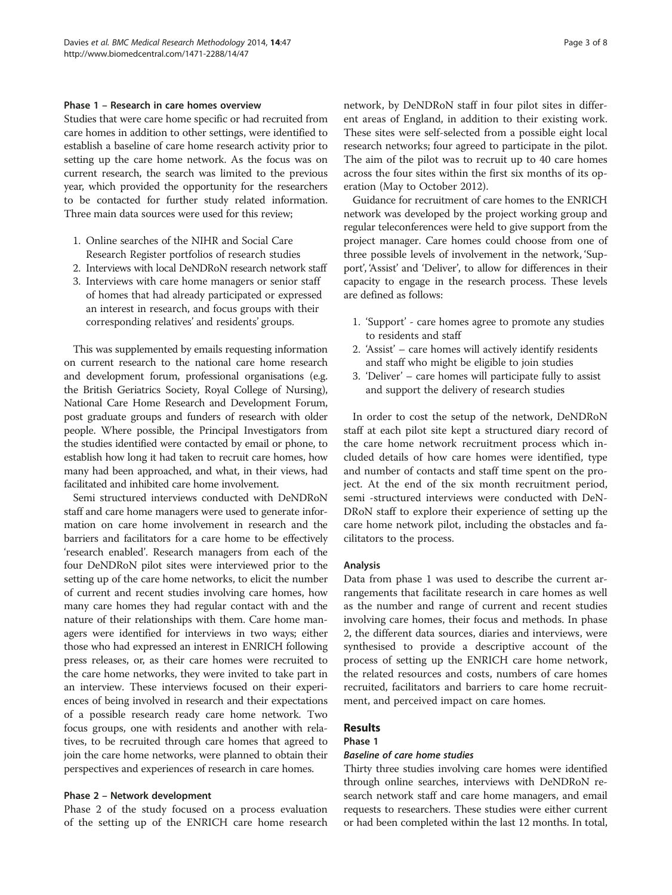### Phase 1 – Research in care homes overview

Studies that were care home specific or had recruited from care homes in addition to other settings, were identified to establish a baseline of care home research activity prior to setting up the care home network. As the focus was on current research, the search was limited to the previous year, which provided the opportunity for the researchers to be contacted for further study related information. Three main data sources were used for this review;

- 1. Online searches of the NIHR and Social Care Research Register portfolios of research studies
- 2. Interviews with local DeNDRoN research network staff
- 3. Interviews with care home managers or senior staff of homes that had already participated or expressed an interest in research, and focus groups with their corresponding relatives' and residents' groups.

This was supplemented by emails requesting information on current research to the national care home research and development forum, professional organisations (e.g. the British Geriatrics Society, Royal College of Nursing), National Care Home Research and Development Forum, post graduate groups and funders of research with older people. Where possible, the Principal Investigators from the studies identified were contacted by email or phone, to establish how long it had taken to recruit care homes, how many had been approached, and what, in their views, had facilitated and inhibited care home involvement.

Semi structured interviews conducted with DeNDRoN staff and care home managers were used to generate information on care home involvement in research and the barriers and facilitators for a care home to be effectively 'research enabled'. Research managers from each of the four DeNDRoN pilot sites were interviewed prior to the setting up of the care home networks, to elicit the number of current and recent studies involving care homes, how many care homes they had regular contact with and the nature of their relationships with them. Care home managers were identified for interviews in two ways; either those who had expressed an interest in ENRICH following press releases, or, as their care homes were recruited to the care home networks, they were invited to take part in an interview. These interviews focused on their experiences of being involved in research and their expectations of a possible research ready care home network. Two focus groups, one with residents and another with relatives, to be recruited through care homes that agreed to join the care home networks, were planned to obtain their perspectives and experiences of research in care homes.

# Phase 2 – Network development

Phase 2 of the study focused on a process evaluation of the setting up of the ENRICH care home research network, by DeNDRoN staff in four pilot sites in different areas of England, in addition to their existing work. These sites were self-selected from a possible eight local research networks; four agreed to participate in the pilot. The aim of the pilot was to recruit up to 40 care homes across the four sites within the first six months of its operation (May to October 2012).

Guidance for recruitment of care homes to the ENRICH network was developed by the project working group and regular teleconferences were held to give support from the project manager. Care homes could choose from one of three possible levels of involvement in the network, 'Support', 'Assist' and 'Deliver', to allow for differences in their capacity to engage in the research process. These levels are defined as follows:

- 1. 'Support' care homes agree to promote any studies to residents and staff
- 2. 'Assist' care homes will actively identify residents and staff who might be eligible to join studies
- 3. 'Deliver' care homes will participate fully to assist and support the delivery of research studies

In order to cost the setup of the network, DeNDRoN staff at each pilot site kept a structured diary record of the care home network recruitment process which included details of how care homes were identified, type and number of contacts and staff time spent on the project. At the end of the six month recruitment period, semi -structured interviews were conducted with DeN-DRoN staff to explore their experience of setting up the care home network pilot, including the obstacles and facilitators to the process.

#### Analysis

Data from phase 1 was used to describe the current arrangements that facilitate research in care homes as well as the number and range of current and recent studies involving care homes, their focus and methods. In phase 2, the different data sources, diaries and interviews, were synthesised to provide a descriptive account of the process of setting up the ENRICH care home network, the related resources and costs, numbers of care homes recruited, facilitators and barriers to care home recruitment, and perceived impact on care homes.

#### Results

#### Phase 1

### Baseline of care home studies

Thirty three studies involving care homes were identified through online searches, interviews with DeNDRoN research network staff and care home managers, and email requests to researchers. These studies were either current or had been completed within the last 12 months. In total,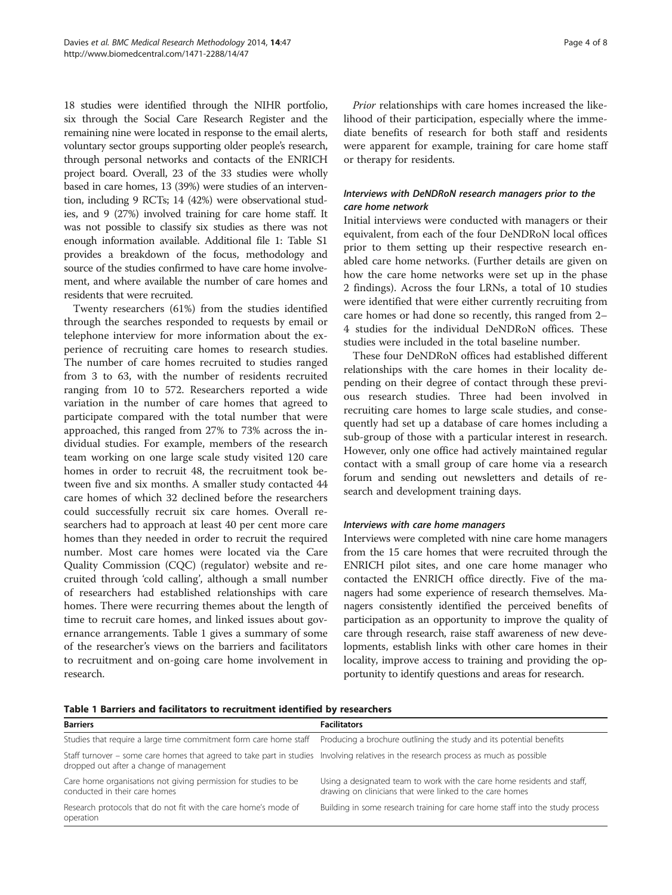18 studies were identified through the NIHR portfolio, six through the Social Care Research Register and the remaining nine were located in response to the email alerts, voluntary sector groups supporting older people's research, through personal networks and contacts of the ENRICH project board. Overall, 23 of the 33 studies were wholly based in care homes, 13 (39%) were studies of an intervention, including 9 RCTs; 14 (42%) were observational studies, and 9 (27%) involved training for care home staff. It was not possible to classify six studies as there was not enough information available. Additional file [1](#page-6-0): Table S1 provides a breakdown of the focus, methodology and source of the studies confirmed to have care home involvement, and where available the number of care homes and residents that were recruited.

Twenty researchers (61%) from the studies identified through the searches responded to requests by email or telephone interview for more information about the experience of recruiting care homes to research studies. The number of care homes recruited to studies ranged from 3 to 63, with the number of residents recruited ranging from 10 to 572. Researchers reported a wide variation in the number of care homes that agreed to participate compared with the total number that were approached, this ranged from 27% to 73% across the individual studies. For example, members of the research team working on one large scale study visited 120 care homes in order to recruit 48, the recruitment took between five and six months. A smaller study contacted 44 care homes of which 32 declined before the researchers could successfully recruit six care homes. Overall researchers had to approach at least 40 per cent more care homes than they needed in order to recruit the required number. Most care homes were located via the Care Quality Commission (CQC) (regulator) website and recruited through 'cold calling', although a small number of researchers had established relationships with care homes. There were recurring themes about the length of time to recruit care homes, and linked issues about governance arrangements. Table 1 gives a summary of some of the researcher's views on the barriers and facilitators to recruitment and on-going care home involvement in research.

Prior relationships with care homes increased the likelihood of their participation, especially where the immediate benefits of research for both staff and residents were apparent for example, training for care home staff or therapy for residents.

# Interviews with DeNDRoN research managers prior to the care home network

Initial interviews were conducted with managers or their equivalent, from each of the four DeNDRoN local offices prior to them setting up their respective research enabled care home networks. (Further details are given on how the care home networks were set up in the phase 2 findings). Across the four LRNs, a total of 10 studies were identified that were either currently recruiting from care homes or had done so recently, this ranged from 2– 4 studies for the individual DeNDRoN offices. These studies were included in the total baseline number.

These four DeNDRoN offices had established different relationships with the care homes in their locality depending on their degree of contact through these previous research studies. Three had been involved in recruiting care homes to large scale studies, and consequently had set up a database of care homes including a sub-group of those with a particular interest in research. However, only one office had actively maintained regular contact with a small group of care home via a research forum and sending out newsletters and details of research and development training days.

# Interviews with care home managers

Interviews were completed with nine care home managers from the 15 care homes that were recruited through the ENRICH pilot sites, and one care home manager who contacted the ENRICH office directly. Five of the managers had some experience of research themselves. Managers consistently identified the perceived benefits of participation as an opportunity to improve the quality of care through research, raise staff awareness of new developments, establish links with other care homes in their locality, improve access to training and providing the opportunity to identify questions and areas for research.

Table 1 Barriers and facilitators to recruitment identified by researchers

| <b>Barriers</b>                                                                                                                                                                  | <b>Facilitators</b>                                                                                                                 |
|----------------------------------------------------------------------------------------------------------------------------------------------------------------------------------|-------------------------------------------------------------------------------------------------------------------------------------|
| Studies that require a large time commitment form care home staff                                                                                                                | Producing a brochure outlining the study and its potential benefits                                                                 |
| Staff turnover – some care homes that agreed to take part in studies Involving relatives in the research process as much as possible<br>dropped out after a change of management |                                                                                                                                     |
| Care home organisations not giving permission for studies to be<br>conducted in their care homes                                                                                 | Using a designated team to work with the care home residents and staff.<br>drawing on clinicians that were linked to the care homes |
| Research protocols that do not fit with the care home's mode of<br>operation                                                                                                     | Building in some research training for care home staff into the study process                                                       |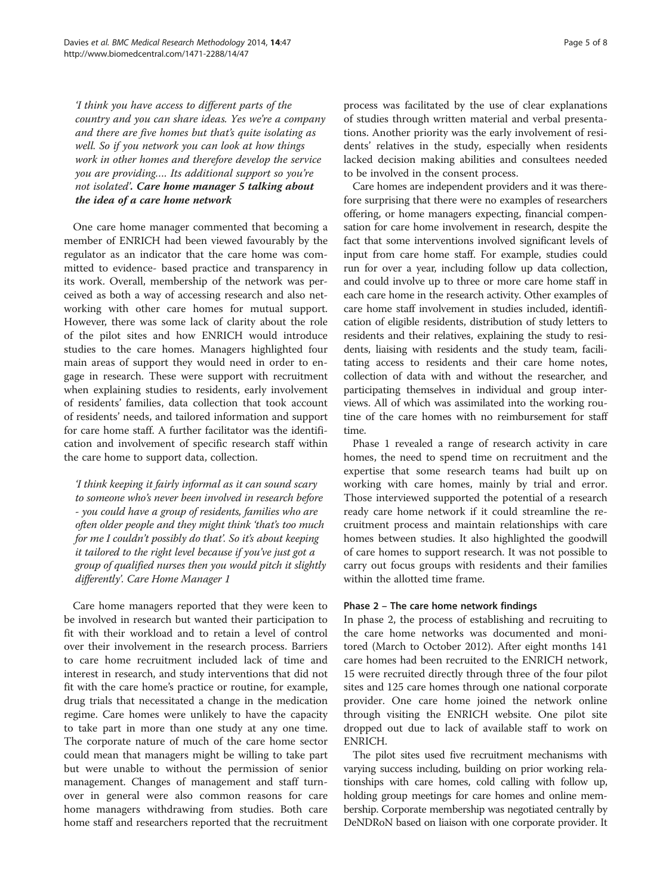'I think you have access to different parts of the country and you can share ideas. Yes we're a company and there are five homes but that's quite isolating as well. So if you network you can look at how things work in other homes and therefore develop the service you are providing…. Its additional support so you're not isolated'. Care home manager 5 talking about the idea of a care home network

One care home manager commented that becoming a member of ENRICH had been viewed favourably by the regulator as an indicator that the care home was committed to evidence- based practice and transparency in its work. Overall, membership of the network was perceived as both a way of accessing research and also networking with other care homes for mutual support. However, there was some lack of clarity about the role of the pilot sites and how ENRICH would introduce studies to the care homes. Managers highlighted four main areas of support they would need in order to engage in research. These were support with recruitment when explaining studies to residents, early involvement of residents' families, data collection that took account of residents' needs, and tailored information and support for care home staff. A further facilitator was the identification and involvement of specific research staff within the care home to support data, collection.

'I think keeping it fairly informal as it can sound scary to someone who's never been involved in research before - you could have a group of residents, families who are often older people and they might think 'that's too much for me I couldn't possibly do that'. So it's about keeping it tailored to the right level because if you've just got a group of qualified nurses then you would pitch it slightly differently'. Care Home Manager 1

Care home managers reported that they were keen to be involved in research but wanted their participation to fit with their workload and to retain a level of control over their involvement in the research process. Barriers to care home recruitment included lack of time and interest in research, and study interventions that did not fit with the care home's practice or routine, for example, drug trials that necessitated a change in the medication regime. Care homes were unlikely to have the capacity to take part in more than one study at any one time. The corporate nature of much of the care home sector could mean that managers might be willing to take part but were unable to without the permission of senior management. Changes of management and staff turnover in general were also common reasons for care home managers withdrawing from studies. Both care home staff and researchers reported that the recruitment

process was facilitated by the use of clear explanations of studies through written material and verbal presentations. Another priority was the early involvement of residents' relatives in the study, especially when residents lacked decision making abilities and consultees needed to be involved in the consent process.

Care homes are independent providers and it was therefore surprising that there were no examples of researchers offering, or home managers expecting, financial compensation for care home involvement in research, despite the fact that some interventions involved significant levels of input from care home staff. For example, studies could run for over a year, including follow up data collection, and could involve up to three or more care home staff in each care home in the research activity. Other examples of care home staff involvement in studies included, identification of eligible residents, distribution of study letters to residents and their relatives, explaining the study to residents, liaising with residents and the study team, facilitating access to residents and their care home notes, collection of data with and without the researcher, and participating themselves in individual and group interviews. All of which was assimilated into the working routine of the care homes with no reimbursement for staff time.

Phase 1 revealed a range of research activity in care homes, the need to spend time on recruitment and the expertise that some research teams had built up on working with care homes, mainly by trial and error. Those interviewed supported the potential of a research ready care home network if it could streamline the recruitment process and maintain relationships with care homes between studies. It also highlighted the goodwill of care homes to support research. It was not possible to carry out focus groups with residents and their families within the allotted time frame.

# Phase 2 – The care home network findings

In phase 2, the process of establishing and recruiting to the care home networks was documented and monitored (March to October 2012). After eight months 141 care homes had been recruited to the ENRICH network, 15 were recruited directly through three of the four pilot sites and 125 care homes through one national corporate provider. One care home joined the network online through visiting the ENRICH website. One pilot site dropped out due to lack of available staff to work on ENRICH.

The pilot sites used five recruitment mechanisms with varying success including, building on prior working relationships with care homes, cold calling with follow up, holding group meetings for care homes and online membership. Corporate membership was negotiated centrally by DeNDRoN based on liaison with one corporate provider. It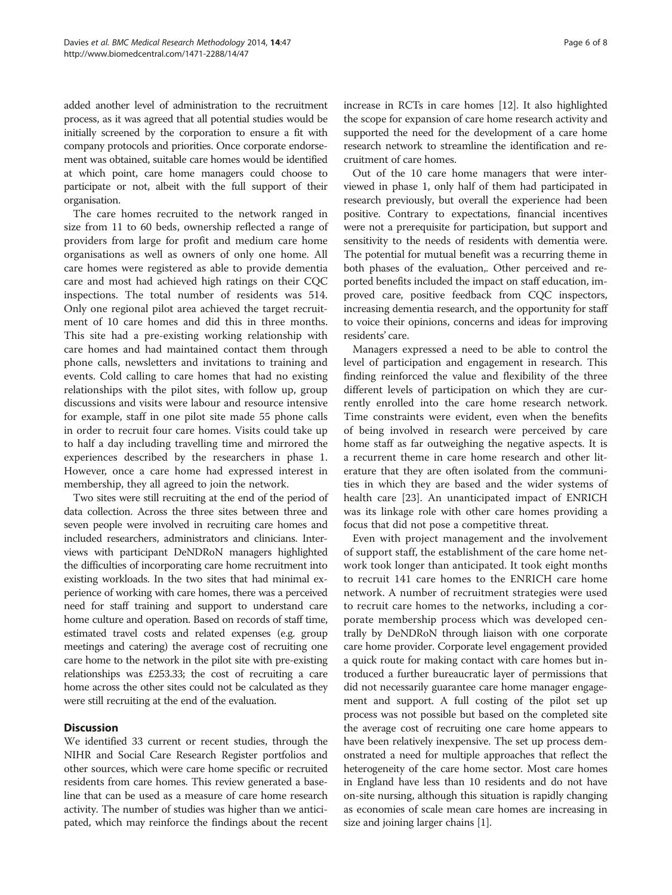added another level of administration to the recruitment process, as it was agreed that all potential studies would be initially screened by the corporation to ensure a fit with company protocols and priorities. Once corporate endorsement was obtained, suitable care homes would be identified at which point, care home managers could choose to participate or not, albeit with the full support of their organisation.

The care homes recruited to the network ranged in size from 11 to 60 beds, ownership reflected a range of providers from large for profit and medium care home organisations as well as owners of only one home. All care homes were registered as able to provide dementia care and most had achieved high ratings on their CQC inspections. The total number of residents was 514. Only one regional pilot area achieved the target recruitment of 10 care homes and did this in three months. This site had a pre-existing working relationship with care homes and had maintained contact them through phone calls, newsletters and invitations to training and events. Cold calling to care homes that had no existing relationships with the pilot sites, with follow up, group discussions and visits were labour and resource intensive for example, staff in one pilot site made 55 phone calls in order to recruit four care homes. Visits could take up to half a day including travelling time and mirrored the experiences described by the researchers in phase 1. However, once a care home had expressed interest in membership, they all agreed to join the network.

Two sites were still recruiting at the end of the period of data collection. Across the three sites between three and seven people were involved in recruiting care homes and included researchers, administrators and clinicians. Interviews with participant DeNDRoN managers highlighted the difficulties of incorporating care home recruitment into existing workloads. In the two sites that had minimal experience of working with care homes, there was a perceived need for staff training and support to understand care home culture and operation. Based on records of staff time, estimated travel costs and related expenses (e.g. group meetings and catering) the average cost of recruiting one care home to the network in the pilot site with pre-existing relationships was £253.33; the cost of recruiting a care home across the other sites could not be calculated as they were still recruiting at the end of the evaluation.

# **Discussion**

We identified 33 current or recent studies, through the NIHR and Social Care Research Register portfolios and other sources, which were care home specific or recruited residents from care homes. This review generated a baseline that can be used as a measure of care home research activity. The number of studies was higher than we anticipated, which may reinforce the findings about the recent increase in RCTs in care homes [\[12\]](#page-7-0). It also highlighted the scope for expansion of care home research activity and supported the need for the development of a care home

cruitment of care homes. Out of the 10 care home managers that were interviewed in phase 1, only half of them had participated in research previously, but overall the experience had been positive. Contrary to expectations, financial incentives were not a prerequisite for participation, but support and sensitivity to the needs of residents with dementia were. The potential for mutual benefit was a recurring theme in both phases of the evaluation,. Other perceived and reported benefits included the impact on staff education, improved care, positive feedback from CQC inspectors, increasing dementia research, and the opportunity for staff to voice their opinions, concerns and ideas for improving residents' care.

research network to streamline the identification and re-

Managers expressed a need to be able to control the level of participation and engagement in research. This finding reinforced the value and flexibility of the three different levels of participation on which they are currently enrolled into the care home research network. Time constraints were evident, even when the benefits of being involved in research were perceived by care home staff as far outweighing the negative aspects. It is a recurrent theme in care home research and other literature that they are often isolated from the communities in which they are based and the wider systems of health care [\[23](#page-7-0)]. An unanticipated impact of ENRICH was its linkage role with other care homes providing a focus that did not pose a competitive threat.

Even with project management and the involvement of support staff, the establishment of the care home network took longer than anticipated. It took eight months to recruit 141 care homes to the ENRICH care home network. A number of recruitment strategies were used to recruit care homes to the networks, including a corporate membership process which was developed centrally by DeNDRoN through liaison with one corporate care home provider. Corporate level engagement provided a quick route for making contact with care homes but introduced a further bureaucratic layer of permissions that did not necessarily guarantee care home manager engagement and support. A full costing of the pilot set up process was not possible but based on the completed site the average cost of recruiting one care home appears to have been relatively inexpensive. The set up process demonstrated a need for multiple approaches that reflect the heterogeneity of the care home sector. Most care homes in England have less than 10 residents and do not have on-site nursing, although this situation is rapidly changing as economies of scale mean care homes are increasing in size and joining larger chains [\[1\]](#page-7-0).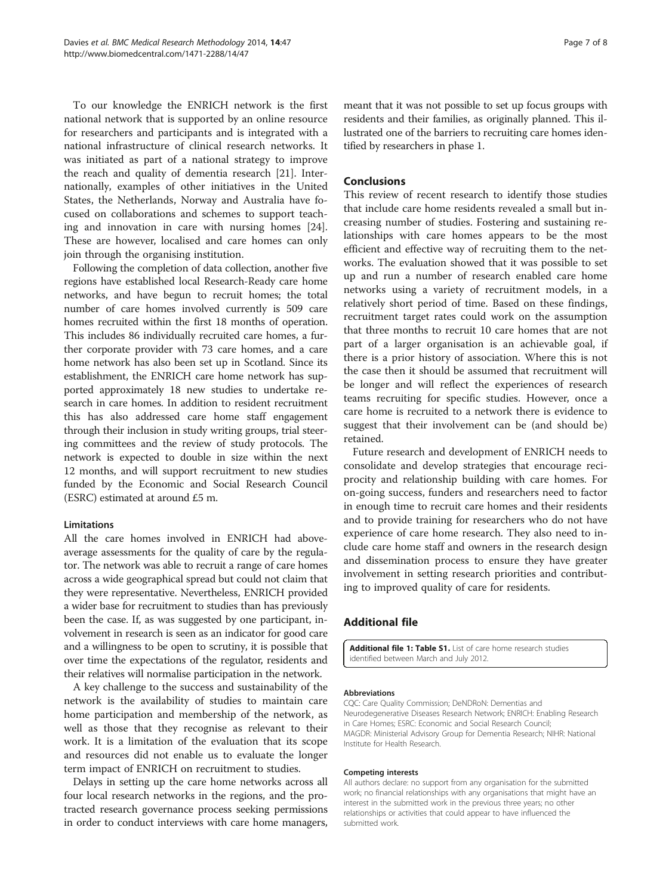<span id="page-6-0"></span>To our knowledge the ENRICH network is the first national network that is supported by an online resource for researchers and participants and is integrated with a national infrastructure of clinical research networks. It was initiated as part of a national strategy to improve the reach and quality of dementia research [[21\]](#page-7-0). Internationally, examples of other initiatives in the United States, the Netherlands, Norway and Australia have focused on collaborations and schemes to support teaching and innovation in care with nursing homes [\[24](#page-7-0)]. These are however, localised and care homes can only join through the organising institution.

Following the completion of data collection, another five regions have established local Research-Ready care home networks, and have begun to recruit homes; the total number of care homes involved currently is 509 care homes recruited within the first 18 months of operation. This includes 86 individually recruited care homes, a further corporate provider with 73 care homes, and a care home network has also been set up in Scotland. Since its establishment, the ENRICH care home network has supported approximately 18 new studies to undertake research in care homes. In addition to resident recruitment this has also addressed care home staff engagement through their inclusion in study writing groups, trial steering committees and the review of study protocols. The network is expected to double in size within the next 12 months, and will support recruitment to new studies funded by the Economic and Social Research Council (ESRC) estimated at around £5 m.

# Limitations

All the care homes involved in ENRICH had aboveaverage assessments for the quality of care by the regulator. The network was able to recruit a range of care homes across a wide geographical spread but could not claim that they were representative. Nevertheless, ENRICH provided a wider base for recruitment to studies than has previously been the case. If, as was suggested by one participant, involvement in research is seen as an indicator for good care and a willingness to be open to scrutiny, it is possible that over time the expectations of the regulator, residents and their relatives will normalise participation in the network.

A key challenge to the success and sustainability of the network is the availability of studies to maintain care home participation and membership of the network, as well as those that they recognise as relevant to their work. It is a limitation of the evaluation that its scope and resources did not enable us to evaluate the longer term impact of ENRICH on recruitment to studies.

Delays in setting up the care home networks across all four local research networks in the regions, and the protracted research governance process seeking permissions in order to conduct interviews with care home managers,

meant that it was not possible to set up focus groups with residents and their families, as originally planned. This illustrated one of the barriers to recruiting care homes identified by researchers in phase 1.

# Conclusions

This review of recent research to identify those studies that include care home residents revealed a small but increasing number of studies. Fostering and sustaining relationships with care homes appears to be the most efficient and effective way of recruiting them to the networks. The evaluation showed that it was possible to set up and run a number of research enabled care home networks using a variety of recruitment models, in a relatively short period of time. Based on these findings, recruitment target rates could work on the assumption that three months to recruit 10 care homes that are not part of a larger organisation is an achievable goal, if there is a prior history of association. Where this is not the case then it should be assumed that recruitment will be longer and will reflect the experiences of research teams recruiting for specific studies. However, once a care home is recruited to a network there is evidence to suggest that their involvement can be (and should be) retained.

Future research and development of ENRICH needs to consolidate and develop strategies that encourage reciprocity and relationship building with care homes. For on-going success, funders and researchers need to factor in enough time to recruit care homes and their residents and to provide training for researchers who do not have experience of care home research. They also need to include care home staff and owners in the research design and dissemination process to ensure they have greater involvement in setting research priorities and contributing to improved quality of care for residents.

# Additional file

[Additional file 1: Table S1.](http://www.biomedcentral.com/content/supplementary/1471-2288-14-47-S1.docx) List of care home research studies identified between March and July 2012.

#### Abbreviations

CQC: Care Quality Commission; DeNDRoN: Dementias and Neurodegenerative Diseases Research Network; ENRICH: Enabling Research in Care Homes; ESRC: Economic and Social Research Council; MAGDR: Ministerial Advisory Group for Dementia Research; NIHR: National Institute for Health Research.

#### Competing interests

All authors declare: no support from any organisation for the submitted work; no financial relationships with any organisations that might have an interest in the submitted work in the previous three years; no other relationships or activities that could appear to have influenced the submitted work.